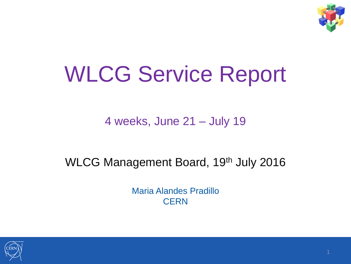

# WLCG Service Report

4 weeks, June 21 – July 19

#### WLCG Management Board, 19th July 2016

Maria Alandes Pradillo **CERN** 

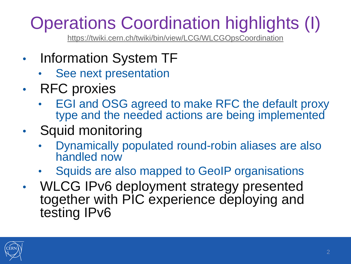#### Operations Coordination highlights (I)

<https://twiki.cern.ch/twiki/bin/view/LCG/WLCGOpsCoordination>

- Information System TF
	- See next presentation
- RFC proxies
	- EGI and OSG agreed to make RFC the default proxy type and the needed actions are being implemented
- Squid monitoring
	- Dynamically populated round-robin aliases are also handled now
	- Squids are also mapped to GeoIP organisations
- WLCG IPv6 deployment strategy presented together with PIC experience deploying and testing IPv6

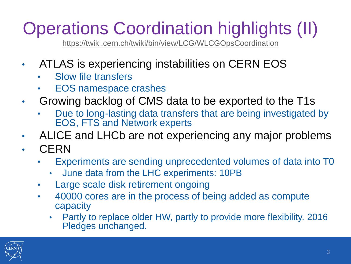#### Operations Coordination highlights (II)

<https://twiki.cern.ch/twiki/bin/view/LCG/WLCGOpsCoordination>

- ATLAS is experiencing instabilities on CERN EOS
	- Slow file transfers
	- EOS namespace crashes
- Growing backlog of CMS data to be exported to the T1s
	- Due to long-lasting data transfers that are being investigated by EOS, FTS and Network experts
- ALICE and LHCb are not experiencing any major problems • CERN
	- Experiments are sending unprecedented volumes of data into T0
		- June data from the LHC experiments: 10PB
	- Large scale disk retirement ongoing
	- 40000 cores are in the process of being added as compute capacity
		- Partly to replace older HW, partly to provide more flexibility. 2016 Pledges unchanged.

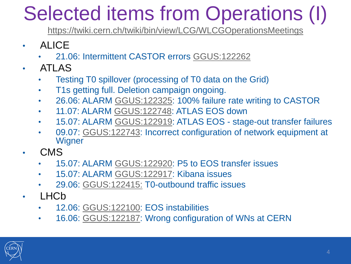### Selected items from Operations (I)

<https://twiki.cern.ch/twiki/bin/view/LCG/WLCGOperationsMeetings>

- ALICE
	- 21.06: Intermittent CASTOR errors [GGUS:122262](https://ggus.eu/ws/ticket_info.php?ticket=122262)
- ATLAS
	- Testing T0 spillover (processing of T0 data on the Grid)
	- T1s getting full. Deletion campaign ongoing.
	- 26.06: ALARM [GGUS:122325](https://ggus.eu/ws/ticket_info.php?ticket=122325): 100% failure rate writing to CASTOR
	- 11.07: ALARM [GGUS:122748](https://ggus.eu/?mode=ticket_info&ticket_id=122748): ATLAS EOS down
	- 15.07: ALARM [GGUS:122919](https://ggus.eu/?mode=ticket_info&ticket_id=122919): ATLAS EOS stage-out transfer failures
	- 09.07: [GGUS:122743](https://ggus.eu/index.php?mode=ticket_info&ticket_id=122743): Incorrect configuration of network equipment at **Wigner**
- CMS
	- 15.07: ALARM [GGUS:122920](https://ggus.eu/?mode=ticket_info&ticket_id=122920): P5 to EOS transfer issues
	- 15.07: ALARM [GGUS:122917](https://ggus.eu/?mode=ticket_info&ticket_id=122917): Kibana issues
	- 29.06: [GGUS:122415:](https://ggus.eu/ws/ticket_info.php?ticket=122415) T0-outbound traffic issues
- LHCb
	- 12.06: [GGUS:122100](https://ggus.eu/ws/ticket_info.php?ticket=122100): EOS instabilities
	- 16.06: [GGUS:122187](https://ggus.eu/ws/ticket_info.php?ticket=122187): Wrong configuration of WNs at CERN

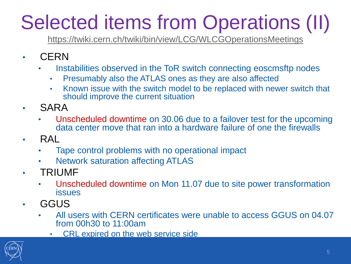## Selected items from Operations (II)

<https://twiki.cern.ch/twiki/bin/view/LCG/WLCGOperationsMeetings>

- CERN
	- Instabilities observed in the ToR switch connecting eoscmsftp nodes
		- Presumably also the ATLAS ones as they are also affected
		- Known issue with the switch model to be replaced with newer switch that should improve the current situation
- SARA
	- Unscheduled downtime on 30.06 due to a failover test for the upcoming data center move that ran into a hardware failure of one the firewalls
- RAL
	- Tape control problems with no operational impact
	- Network saturation affecting ATLAS
- TRIUMF
	- Unscheduled downtime on Mon 11.07 due to site power transformation issues
- GGUS
	- All users with CERN certificates were unable to access GGUS on 04.07 from 00h30 to 11:00am
		- CRL expired on the web service side

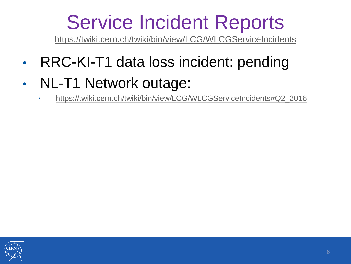#### Service Incident Reports

<https://twiki.cern.ch/twiki/bin/view/LCG/WLCGServiceIncidents>

- RRC-KI-T1 data loss incident: pending
- NL-T1 Network outage:
	- [https://twiki.cern.ch/twiki/bin/view/LCG/WLCGServiceIncidents#Q2\\_2016](https://twiki.cern.ch/twiki/bin/view/LCG/WLCGServiceIncidents#Q2_2016)